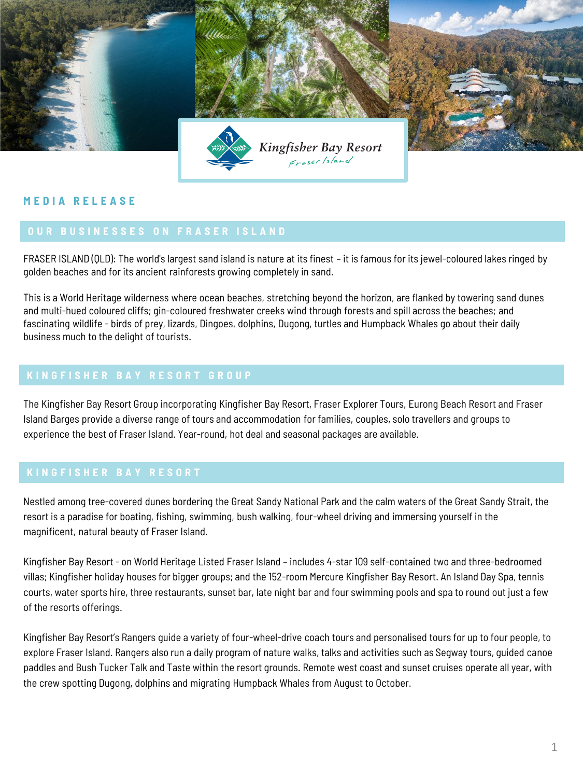

# **M E D I A R E L E A S E**

FRASER ISLAND (QLD): The world's largest sand island is nature at its finest – it is famous for its jewel-coloured lakes ringed by golden beaches and for its ancient rainforests growing completely in sand.

This is a World Heritage wilderness where ocean beaches, stretching beyond the horizon, are flanked by towering sand dunes and multi-hued coloured cliffs; gin-coloured freshwater creeks wind through forests and spill across the beaches; and fascinating wildlife - birds of prey, lizards, Dingoes, dolphins, Dugong, turtles and Humpback Whales go about their daily business much to the delight of tourists.

The Kingfisher Bay Resort Group incorporating Kingfisher Bay Resort, Fraser Explorer Tours, Eurong Beach Resort and Fraser Island Barges provide a diverse range of tours and accommodation for families, couples, solo travellers and groups to experience the best of Fraser Island. Year-round, hot deal and seasonal packages are available.

Nestled among tree-covered dunes bordering the Great Sandy National Park and the calm waters of the Great Sandy Strait, the resort is a paradise for boating, fishing, swimming, bush walking, four-wheel driving and immersing yourself in the magnificent, natural beauty of Fraser Island.

Kingfisher Bay Resort - on World Heritage Listed Fraser Island – includes 4-star 109 self-contained two and three-bedroomed villas; Kingfisher holiday houses for bigger groups; and the 152-room Mercure Kingfisher Bay Resort. An Island Day Spa, tennis courts, water sports hire, three restaurants, sunset bar, late night bar and four swimming pools and spa to round out just a few of the resorts offerings.

Kingfisher Bay Resort's Rangers guide a variety of four-wheel-drive coach tours and personalised tours for up to four people, to explore Fraser Island. Rangers also run a daily program of nature walks, talks and activities such as Segway tours, guided canoe paddles and Bush Tucker Talk and Taste within the resort grounds. Remote west coast and sunset cruises operate all year, with the crew spotting Dugong, dolphins and migrating Humpback Whales from August to October.